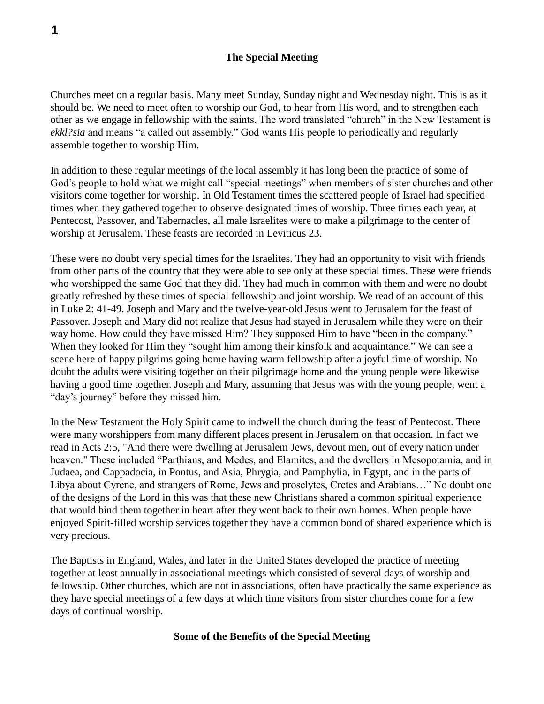#### **The Special Meeting**

Churches meet on a regular basis. Many meet Sunday, Sunday night and Wednesday night. This is as it should be. We need to meet often to worship our God, to hear from His word, and to strengthen each other as we engage in fellowship with the saints. The word translated "church" in the New Testament is *ekkl?sia* and means "a called out assembly." God wants His people to periodically and regularly assemble together to worship Him.

In addition to these regular meetings of the local assembly it has long been the practice of some of God's people to hold what we might call "special meetings" when members of sister churches and other visitors come together for worship. In Old Testament times the scattered people of Israel had specified times when they gathered together to observe designated times of worship. Three times each year, at Pentecost, Passover, and Tabernacles, all male Israelites were to make a pilgrimage to the center of worship at Jerusalem. These feasts are recorded in Leviticus 23.

These were no doubt very special times for the Israelites. They had an opportunity to visit with friends from other parts of the country that they were able to see only at these special times. These were friends who worshipped the same God that they did. They had much in common with them and were no doubt greatly refreshed by these times of special fellowship and joint worship. We read of an account of this in Luke 2: 41-49. Joseph and Mary and the twelve-year-old Jesus went to Jerusalem for the feast of Passover. Joseph and Mary did not realize that Jesus had stayed in Jerusalem while they were on their way home. How could they have missed Him? They supposed Him to have "been in the company." When they looked for Him they "sought him among their kinsfolk and acquaintance." We can see a scene here of happy pilgrims going home having warm fellowship after a joyful time of worship. No doubt the adults were visiting together on their pilgrimage home and the young people were likewise having a good time together. Joseph and Mary, assuming that Jesus was with the young people, went a "day's journey" before they missed him.

In the New Testament the Holy Spirit came to indwell the church during the feast of Pentecost. There were many worshippers from many different places present in Jerusalem on that occasion. In fact we read in Acts 2:5, "And there were dwelling at Jerusalem Jews, devout men, out of every nation under heaven." These included "Parthians, and Medes, and Elamites, and the dwellers in Mesopotamia, and in Judaea, and Cappadocia, in Pontus, and Asia, Phrygia, and Pamphylia, in Egypt, and in the parts of Libya about Cyrene, and strangers of Rome, Jews and proselytes, Cretes and Arabians…" No doubt one of the designs of the Lord in this was that these new Christians shared a common spiritual experience that would bind them together in heart after they went back to their own homes. When people have enjoyed Spirit-filled worship services together they have a common bond of shared experience which is very precious.

The Baptists in England, Wales, and later in the United States developed the practice of meeting together at least annually in associational meetings which consisted of several days of worship and fellowship. Other churches, which are not in associations, often have practically the same experience as they have special meetings of a few days at which time visitors from sister churches come for a few days of continual worship.

#### **Some of the Benefits of the Special Meeting**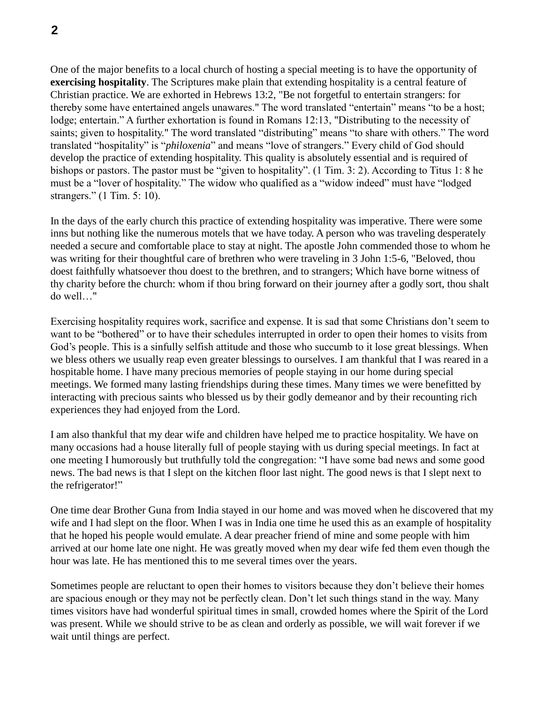One of the major benefits to a local church of hosting a special meeting is to have the opportunity of **exercising hospitality**. The Scriptures make plain that extending hospitality is a central feature of Christian practice. We are exhorted in Hebrews 13:2, "Be not forgetful to entertain strangers: for thereby some have entertained angels unawares." The word translated "entertain" means "to be a host; lodge; entertain." A further exhortation is found in Romans 12:13, "Distributing to the necessity of saints; given to hospitality." The word translated "distributing" means "to share with others." The word translated "hospitality" is "*philoxenia*" and means "love of strangers." Every child of God should develop the practice of extending hospitality. This quality is absolutely essential and is required of bishops or pastors. The pastor must be "given to hospitality". (1 Tim. 3: 2). According to Titus 1: 8 he must be a "lover of hospitality." The widow who qualified as a "widow indeed" must have "lodged strangers." (1 Tim. 5: 10).

In the days of the early church this practice of extending hospitality was imperative. There were some inns but nothing like the numerous motels that we have today. A person who was traveling desperately needed a secure and comfortable place to stay at night. The apostle John commended those to whom he was writing for their thoughtful care of brethren who were traveling in 3 John 1:5-6, "Beloved, thou doest faithfully whatsoever thou doest to the brethren, and to strangers; Which have borne witness of thy charity before the church: whom if thou bring forward on their journey after a godly sort, thou shalt do well…"

Exercising hospitality requires work, sacrifice and expense. It is sad that some Christians don't seem to want to be "bothered" or to have their schedules interrupted in order to open their homes to visits from God's people. This is a sinfully selfish attitude and those who succumb to it lose great blessings. When we bless others we usually reap even greater blessings to ourselves. I am thankful that I was reared in a hospitable home. I have many precious memories of people staying in our home during special meetings. We formed many lasting friendships during these times. Many times we were benefitted by interacting with precious saints who blessed us by their godly demeanor and by their recounting rich experiences they had enjoyed from the Lord.

I am also thankful that my dear wife and children have helped me to practice hospitality. We have on many occasions had a house literally full of people staying with us during special meetings. In fact at one meeting I humorously but truthfully told the congregation: "I have some bad news and some good news. The bad news is that I slept on the kitchen floor last night. The good news is that I slept next to the refrigerator!"

One time dear Brother Guna from India stayed in our home and was moved when he discovered that my wife and I had slept on the floor. When I was in India one time he used this as an example of hospitality that he hoped his people would emulate. A dear preacher friend of mine and some people with him arrived at our home late one night. He was greatly moved when my dear wife fed them even though the hour was late. He has mentioned this to me several times over the years.

Sometimes people are reluctant to open their homes to visitors because they don't believe their homes are spacious enough or they may not be perfectly clean. Don't let such things stand in the way. Many times visitors have had wonderful spiritual times in small, crowded homes where the Spirit of the Lord was present. While we should strive to be as clean and orderly as possible, we will wait forever if we wait until things are perfect.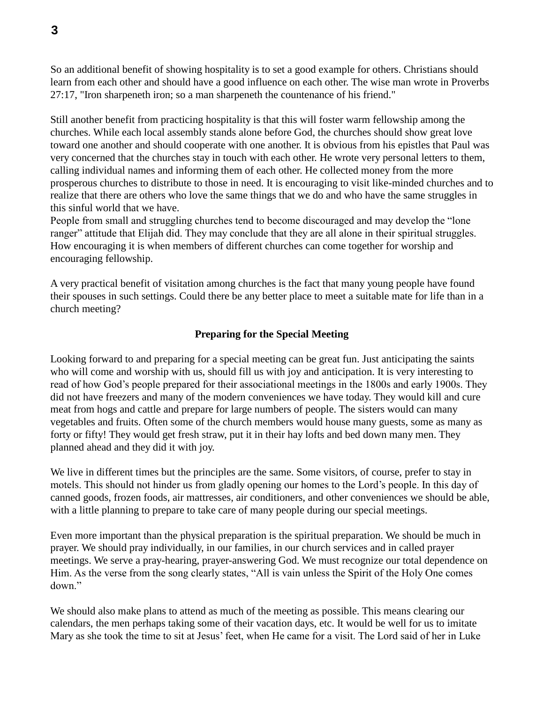So an additional benefit of showing hospitality is to set a good example for others. Christians should learn from each other and should have a good influence on each other. The wise man wrote in Proverbs 27:17, "Iron sharpeneth iron; so a man sharpeneth the countenance of his friend."

Still another benefit from practicing hospitality is that this will foster warm fellowship among the churches. While each local assembly stands alone before God, the churches should show great love toward one another and should cooperate with one another. It is obvious from his epistles that Paul was very concerned that the churches stay in touch with each other. He wrote very personal letters to them, calling individual names and informing them of each other. He collected money from the more prosperous churches to distribute to those in need. It is encouraging to visit like-minded churches and to realize that there are others who love the same things that we do and who have the same struggles in this sinful world that we have.

People from small and struggling churches tend to become discouraged and may develop the "lone ranger" attitude that Elijah did. They may conclude that they are all alone in their spiritual struggles. How encouraging it is when members of different churches can come together for worship and encouraging fellowship.

A very practical benefit of visitation among churches is the fact that many young people have found their spouses in such settings. Could there be any better place to meet a suitable mate for life than in a church meeting?

## **Preparing for the Special Meeting**

Looking forward to and preparing for a special meeting can be great fun. Just anticipating the saints who will come and worship with us, should fill us with joy and anticipation. It is very interesting to read of how God's people prepared for their associational meetings in the 1800s and early 1900s. They did not have freezers and many of the modern conveniences we have today. They would kill and cure meat from hogs and cattle and prepare for large numbers of people. The sisters would can many vegetables and fruits. Often some of the church members would house many guests, some as many as forty or fifty! They would get fresh straw, put it in their hay lofts and bed down many men. They planned ahead and they did it with joy.

We live in different times but the principles are the same. Some visitors, of course, prefer to stay in motels. This should not hinder us from gladly opening our homes to the Lord's people. In this day of canned goods, frozen foods, air mattresses, air conditioners, and other conveniences we should be able, with a little planning to prepare to take care of many people during our special meetings.

Even more important than the physical preparation is the spiritual preparation. We should be much in prayer. We should pray individually, in our families, in our church services and in called prayer meetings. We serve a pray-hearing, prayer-answering God. We must recognize our total dependence on Him. As the verse from the song clearly states, "All is vain unless the Spirit of the Holy One comes down."

We should also make plans to attend as much of the meeting as possible. This means clearing our calendars, the men perhaps taking some of their vacation days, etc. It would be well for us to imitate Mary as she took the time to sit at Jesus' feet, when He came for a visit. The Lord said of her in Luke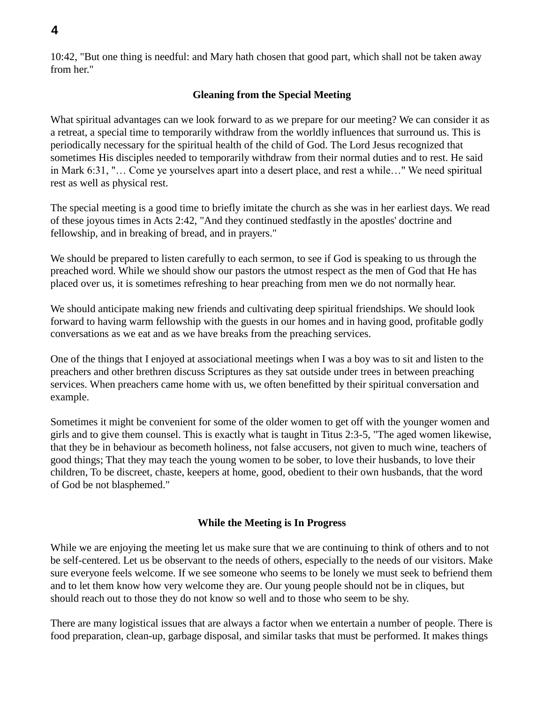10:42, "But one thing is needful: and Mary hath chosen that good part, which shall not be taken away from her."

## **Gleaning from the Special Meeting**

What spiritual advantages can we look forward to as we prepare for our meeting? We can consider it as a retreat, a special time to temporarily withdraw from the worldly influences that surround us. This is periodically necessary for the spiritual health of the child of God. The Lord Jesus recognized that sometimes His disciples needed to temporarily withdraw from their normal duties and to rest. He said in Mark 6:31, "… Come ye yourselves apart into a desert place, and rest a while…" We need spiritual rest as well as physical rest.

The special meeting is a good time to briefly imitate the church as she was in her earliest days. We read of these joyous times in Acts 2:42, "And they continued stedfastly in the apostles' doctrine and fellowship, and in breaking of bread, and in prayers."

We should be prepared to listen carefully to each sermon, to see if God is speaking to us through the preached word. While we should show our pastors the utmost respect as the men of God that He has placed over us, it is sometimes refreshing to hear preaching from men we do not normally hear.

We should anticipate making new friends and cultivating deep spiritual friendships. We should look forward to having warm fellowship with the guests in our homes and in having good, profitable godly conversations as we eat and as we have breaks from the preaching services.

One of the things that I enjoyed at associational meetings when I was a boy was to sit and listen to the preachers and other brethren discuss Scriptures as they sat outside under trees in between preaching services. When preachers came home with us, we often benefitted by their spiritual conversation and example.

Sometimes it might be convenient for some of the older women to get off with the younger women and girls and to give them counsel. This is exactly what is taught in Titus 2:3-5, "The aged women likewise, that they be in behaviour as becometh holiness, not false accusers, not given to much wine, teachers of good things; That they may teach the young women to be sober, to love their husbands, to love their children, To be discreet, chaste, keepers at home, good, obedient to their own husbands, that the word of God be not blasphemed."

## **While the Meeting is In Progress**

While we are enjoying the meeting let us make sure that we are continuing to think of others and to not be self-centered. Let us be observant to the needs of others, especially to the needs of our visitors. Make sure everyone feels welcome. If we see someone who seems to be lonely we must seek to befriend them and to let them know how very welcome they are. Our young people should not be in cliques, but should reach out to those they do not know so well and to those who seem to be shy.

There are many logistical issues that are always a factor when we entertain a number of people. There is food preparation, clean-up, garbage disposal, and similar tasks that must be performed. It makes things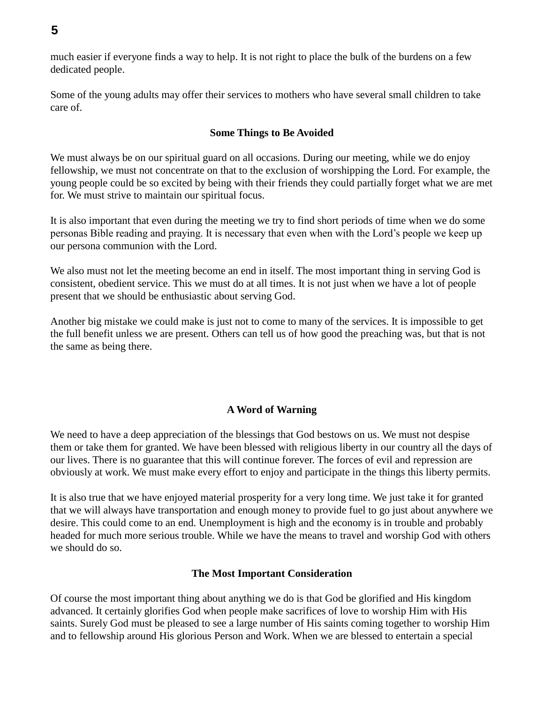much easier if everyone finds a way to help. It is not right to place the bulk of the burdens on a few dedicated people.

Some of the young adults may offer their services to mothers who have several small children to take care of.

## **Some Things to Be Avoided**

We must always be on our spiritual guard on all occasions. During our meeting, while we do enjoy fellowship, we must not concentrate on that to the exclusion of worshipping the Lord. For example, the young people could be so excited by being with their friends they could partially forget what we are met for. We must strive to maintain our spiritual focus.

It is also important that even during the meeting we try to find short periods of time when we do some personas Bible reading and praying. It is necessary that even when with the Lord's people we keep up our persona communion with the Lord.

We also must not let the meeting become an end in itself. The most important thing in serving God is consistent, obedient service. This we must do at all times. It is not just when we have a lot of people present that we should be enthusiastic about serving God.

Another big mistake we could make is just not to come to many of the services. It is impossible to get the full benefit unless we are present. Others can tell us of how good the preaching was, but that is not the same as being there.

## **A Word of Warning**

We need to have a deep appreciation of the blessings that God bestows on us. We must not despise them or take them for granted. We have been blessed with religious liberty in our country all the days of our lives. There is no guarantee that this will continue forever. The forces of evil and repression are obviously at work. We must make every effort to enjoy and participate in the things this liberty permits.

It is also true that we have enjoyed material prosperity for a very long time. We just take it for granted that we will always have transportation and enough money to provide fuel to go just about anywhere we desire. This could come to an end. Unemployment is high and the economy is in trouble and probably headed for much more serious trouble. While we have the means to travel and worship God with others we should do so.

## **The Most Important Consideration**

Of course the most important thing about anything we do is that God be glorified and His kingdom advanced. It certainly glorifies God when people make sacrifices of love to worship Him with His saints. Surely God must be pleased to see a large number of His saints coming together to worship Him and to fellowship around His glorious Person and Work. When we are blessed to entertain a special